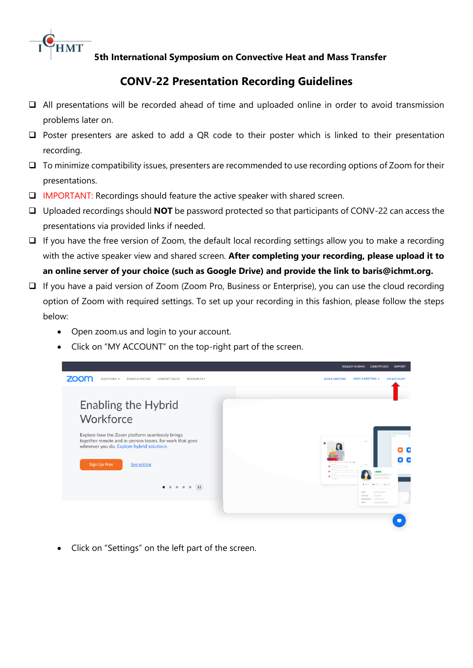

**5th International Symposium on Convective Heat and Mass Transfer**

## **CONV-22 Presentation Recording Guidelines**

- ❑ All presentations will be recorded ahead of time and uploaded online in order to avoid transmission problems later on.
- ❑ Poster presenters are asked to add a QR code to their poster which is linked to their presentation recording.
- ❑ To minimize compatibility issues, presenters are recommended to use recording options of Zoom for their presentations.
- ❑ IMPORTANT: Recordings should feature the active speaker with shared screen.
- ❑ Uploaded recordings should **NOT** be password protected so that participants of CONV-22 can access the presentations via provided links if needed.
- ❑ If you have the free version of Zoom, the default local recording settings allow you to make a recording with the active speaker view and shared screen. **After completing your recording, please upload it to an online server of your choice (such as Google Drive) and provide the link to baris@ichmt.org.**
- ❑ If you have a paid version of Zoom (Zoom Pro, Business or Enterprise), you can use the cloud recording option of Zoom with required settings. To set up your recording in this fashion, please follow the steps below:
	- Open zoom.us and login to your account.
	- Click on "MY ACCOUNT" on the top-right part of the screen.



• Click on "Settings" on the left part of the screen.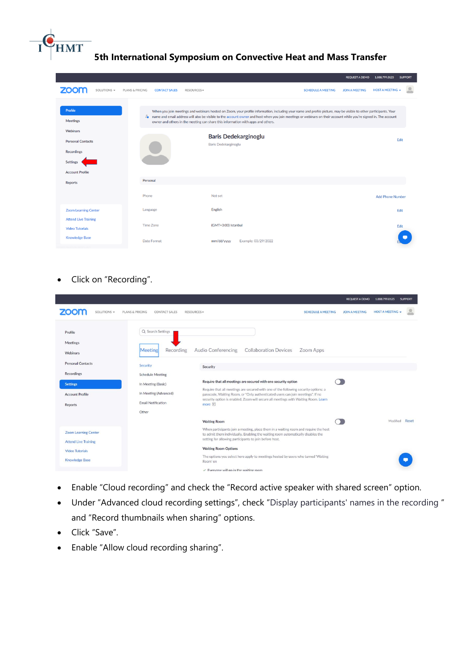## **5th International Symposium on Convective Heat and Mass Transfer**

|                                                                                     |             |                 |                      |                                                                                                                                                                                                                                                                                                                                                                                                                               |                                              |                           | <b>REQUEST A DEMO</b> | 1.888.799.0125          | <b>SUPPORT</b> |
|-------------------------------------------------------------------------------------|-------------|-----------------|----------------------|-------------------------------------------------------------------------------------------------------------------------------------------------------------------------------------------------------------------------------------------------------------------------------------------------------------------------------------------------------------------------------------------------------------------------------|----------------------------------------------|---------------------------|-----------------------|-------------------------|----------------|
|                                                                                     | SOLUTIONS - | PLANS & PRICING | <b>CONTACT SALES</b> | <b>RESOURCES▼</b>                                                                                                                                                                                                                                                                                                                                                                                                             |                                              | <b>SCHEDULE A MEETING</b> | <b>JOIN A MEETING</b> | <b>HOST A MEETING +</b> |                |
| Profile<br><b>Meetings</b><br>Webinars                                              |             |                 |                      | When you join meetings and webinars hosted on Zoom, your profile information, including your name and profile picture, may be visible to other participants. Your<br>2. name and email address will also be visible to the account owner and host when you join meetings or webinars on their account while you're signed in. The account<br>owner and others in the meeting can share this information with apps and others. |                                              |                           |                       |                         |                |
| <b>Personal Contacts</b><br>Recordings<br><b>Settings</b><br><b>Account Profile</b> |             |                 |                      |                                                                                                                                                                                                                                                                                                                                                                                                                               | Baris Dedekarginoglu<br>Baris Dedekarginoglu |                           |                       |                         | Edit           |
| <b>Reports</b>                                                                      |             | Personal        |                      |                                                                                                                                                                                                                                                                                                                                                                                                                               |                                              |                           |                       |                         |                |
|                                                                                     |             | Phone           |                      | Not set                                                                                                                                                                                                                                                                                                                                                                                                                       |                                              |                           |                       | <b>Add Phone Number</b> |                |
| <b>Zoom Learning Center</b>                                                         |             | Language        |                      | English                                                                                                                                                                                                                                                                                                                                                                                                                       |                                              |                           |                       |                         | Edit           |
| <b>Attend Live Training</b><br><b>Video Tutorials</b>                               |             |                 | <b>Time Zone</b>     |                                                                                                                                                                                                                                                                                                                                                                                                                               | (GMT+3:00) Istanbul                          |                           |                       |                         | Edit           |
| <b>Knowledge Base</b>                                                               |             |                 | Date Format          | mm/dd/yyyy                                                                                                                                                                                                                                                                                                                                                                                                                    | Example: 03/29/2022                          |                           |                       |                         |                |

• Click on "Recording".

**HMT** 

|                                                                                                                                   |                                                                                                                                                              |                                                                                                                                                                                                                                                                                                                                                                                                                               |                           | <b>REQUEST A DEMO</b> | 1.888.799.0125        | <b>SUPPORT</b> |
|-----------------------------------------------------------------------------------------------------------------------------------|--------------------------------------------------------------------------------------------------------------------------------------------------------------|-------------------------------------------------------------------------------------------------------------------------------------------------------------------------------------------------------------------------------------------------------------------------------------------------------------------------------------------------------------------------------------------------------------------------------|---------------------------|-----------------------|-----------------------|----------------|
| SOLUTIONS -<br>PLANS & PRICING                                                                                                    | <b>CONTACT SALES</b><br>RESOURCES +                                                                                                                          |                                                                                                                                                                                                                                                                                                                                                                                                                               | <b>SCHEDULE A MEETING</b> | <b>JOIN A MEETING</b> | <b>HOST A MEETING</b> |                |
| Profile<br>Meetings<br>Webinars<br><b>Personal Contacts</b><br>Recordings<br><b>Settings</b><br><b>Account Profile</b><br>Reports | Q Search Settings<br>Recording<br>Meeting<br>Security<br><b>Schedule Meeting</b><br>In Meeting (Basic)<br>In Meeting (Advanced)<br><b>Email Notification</b> | <b>Audio Conferencing</b><br><b>Collaboration Devices</b><br>Security<br>Require that all meetings are secured with one security option<br>Require that all meetings are secured with one of the following security options: a<br>passcode, Waiting Room, or "Only authenticated users can join meetings". If no<br>security option is enabled, Zoom will secure all meetings with Waiting Room. Learn<br>more <sub>[7]</sub> | Zoom Apps                 |                       |                       |                |
| <b>Zoom Learning Center</b><br><b>Attend Live Training</b><br><b>Video Tutorials</b><br><b>Knowledge Base</b>                     | Other                                                                                                                                                        | <b>Waiting Room</b><br>When participants join a meeting, place them in a waiting room and require the host<br>to admit them individually. Enabling the waiting room automatically disables the<br>setting for allowing participants to join before host.<br><b>Waiting Room Options</b><br>The options you select here apply to meetings hosted by users who turned 'Waiting<br>Room' on                                      |                           |                       | Modified              | Reset          |
|                                                                                                                                   |                                                                                                                                                              | $\vee$ Everyone will go in the waiting room                                                                                                                                                                                                                                                                                                                                                                                   |                           |                       |                       |                |

- Enable "Cloud recording" and check the "Record active speaker with shared screen" option.
- Under "Advanced cloud recording settings", check "Display participants' names in the recording " and "Record thumbnails when sharing" options.
- Click "Save".
- Enable "Allow cloud recording sharing".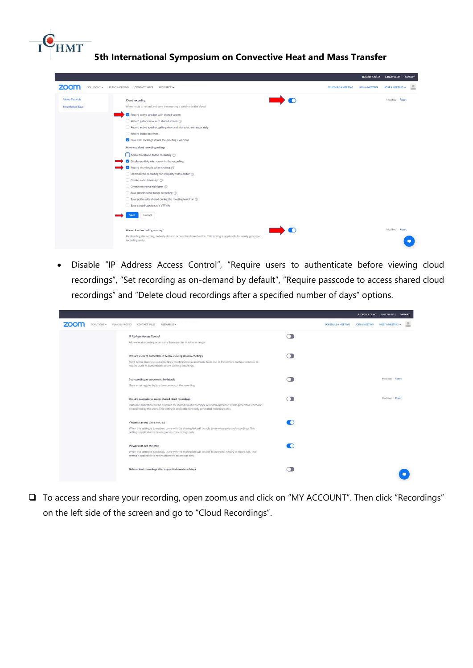## **HMT 5th International Symposium on Convective Heat and Mass Transfer**

| zoom<br>SOLUTIONS -    | PLANS & PRICING<br>CONTACT SALES<br>RESOURCES -                                                                                          | JOIN A MEETING<br><b>SCHEDULE A MEETING</b> | <b>HOST A MEETING +</b> |
|------------------------|------------------------------------------------------------------------------------------------------------------------------------------|---------------------------------------------|-------------------------|
| <b>Video Tutorials</b> | <b>Cloud recording</b>                                                                                                                   |                                             | Modified Reset          |
| <b>Knowledge Base</b>  | Allow hosts to record and save the meeting / webinar in the cloud                                                                        |                                             |                         |
|                        | Record active speaker with shared screen                                                                                                 |                                             |                         |
|                        | Record gallery view with shared screen $\odot$                                                                                           |                                             |                         |
|                        | Record active speaker, gallery view and shared screen separately                                                                         |                                             |                         |
|                        | Record audio-only files                                                                                                                  |                                             |                         |
|                        | $\triangleright$ Save chat messages from the meeting / webinar                                                                           |                                             |                         |
|                        | Advanced cloud recording settings                                                                                                        |                                             |                         |
|                        | $\Box$ Add a timestamp to the recording $\odot$                                                                                          |                                             |                         |
|                        | $\triangleright$ Display participants' names in the recording                                                                            |                                             |                         |
|                        | Record thumbnails when sharing $\circledcirc$                                                                                            |                                             |                         |
|                        | $\Box$ Optimize the recording for 3rd party video editor $\oslash$                                                                       |                                             |                         |
|                        | Create audio transcript (?)                                                                                                              |                                             |                         |
|                        | Create recording highlights $\circledcirc$                                                                                               |                                             |                         |
|                        | Save panelist chat to the recording $\circledcirc$                                                                                       |                                             |                         |
|                        | $\Box$ Save poll results shared during the meeting/webinar $\oslash$                                                                     |                                             |                         |
|                        | Save closed caption as a VTT file                                                                                                        |                                             |                         |
|                        | Cancel                                                                                                                                   |                                             |                         |
|                        | Allow cloud recording sharing                                                                                                            |                                             | Modified Reset          |
|                        | By disabling this setting, nobody else can access the shareable link. This setting is applicable for newly generated<br>recordings only. |                                             |                         |

• Disable "IP Address Access Control", "Require users to authenticate before viewing cloud recordings", "Set recording as on-demand by default", "Require passcode to access shared cloud recordings" and "Delete cloud recordings after a specified number of days" options.

|             |                                                                                                                                                                                                              |                           |                | REQUEST A DEMO 1.888.799.0125 SUPPORT |  |
|-------------|--------------------------------------------------------------------------------------------------------------------------------------------------------------------------------------------------------------|---------------------------|----------------|---------------------------------------|--|
| SOLUTIONS - | PLANS & PRICING<br>CONTACT SALES<br>RESOURCES -                                                                                                                                                              | <b>SCHEDULE A MEETING</b> | JOIN A MEETING | <b>HOST A MEETING</b>                 |  |
|             | IP Address Access Control                                                                                                                                                                                    |                           |                |                                       |  |
|             | Allow cloud recording access only from specific IP address ranges                                                                                                                                            |                           |                |                                       |  |
|             | Require users to authenticate before viewing cloud recordings                                                                                                                                                |                           |                |                                       |  |
|             | Right before sharing cloud recordings, meetings hosts can choose from one of the options configured below to<br>require users to authenticate before viewing recordings.                                     |                           |                |                                       |  |
|             | Set recording as on-demand by default                                                                                                                                                                        |                           |                | Modified Reset                        |  |
|             | Users must register before they can watch the recording                                                                                                                                                      |                           |                |                                       |  |
|             | Require passcode to access shared cloud recordings                                                                                                                                                           |                           |                | Modified Reset                        |  |
|             | Passcode protection will be enforced for shared cloud recordings. A random passcode will be generated which can<br>be modified by the users. This setting is applicable for newly generated recordings only. |                           |                |                                       |  |
|             | Viewers can see the transcript                                                                                                                                                                               |                           |                |                                       |  |
|             | When this setting is turned on, users with the sharing link will be able to view transcripts of recordings. This<br>setting is applicable to newly generated recordings only.                                |                           |                |                                       |  |
|             | Viewers can see the chat                                                                                                                                                                                     |                           |                |                                       |  |
|             | When this setting is turned on, users with the sharing link will be able to view chat history of recordings. This<br>setting is applicable to newly generated recordings only.                               |                           |                |                                       |  |
|             | Delete cloud recordings after a specified number of days                                                                                                                                                     |                           |                |                                       |  |

❑ To access and share your recording, open zoom.us and click on "MY ACCOUNT". Then click "Recordings" on the left side of the screen and go to "Cloud Recordings".